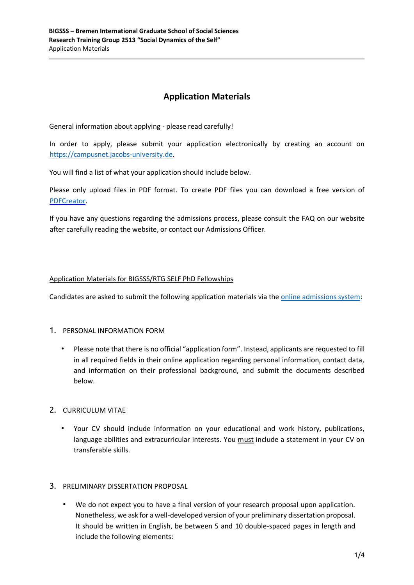# **Application Materials**

General information about applying - please read carefully!

In order to apply, please submit your application electronically by creating an account on [https://campusnet.jacobs-university.de.](https://campusnet.jacobs-university.de/)

You will find a list of what your application should include below.

Please only upload files in PDF format. To create PDF files you can download a free version of [PDFCreator.](https://www.pdfforge.org/pdfcreator)

If you have any questions regarding the admissions process, please consult the FAQ on our website after carefully reading the website, or contact our Admissions Officer.

# Application Materials for BIGSSS/RTG SELF PhD Fellowships

Candidates are asked to submit the following application materials via the [online admissions system:](https://campusnet.jacobs-university.de/)

# 1. PERSONAL INFORMATION FORM

• Please note that there is no official "application form". Instead, applicants are requested to fill in all required fields in their online application regarding personal information, contact data, and information on their professional background, and submit the documents described below.

# 2. CURRICULUM VITAE

• Your CV should include information on your educational and work history, publications, language abilities and extracurricular interests. You must include a statement in your CV on transferable skills.

#### 3. PRELIMINARY DISSERTATION PROPOSAL

• We do not expect you to have a final version of your research proposal upon application. Nonetheless, we ask for a well-developed version of your preliminary dissertation proposal. It should be written in English, be between 5 and 10 double-spaced pages in length and include the following elements: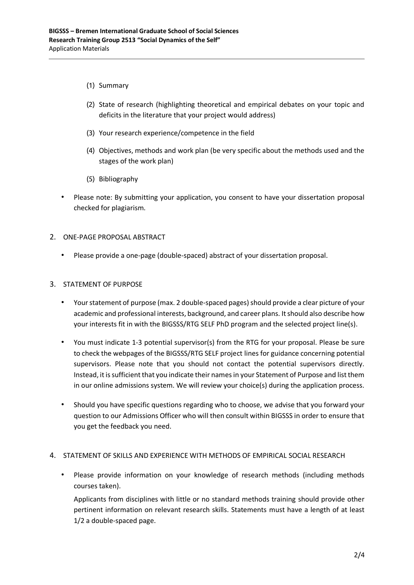- (1) Summary
- (2) State of research (highlighting theoretical and empirical debates on your topic and deficits in the literature that your project would address)
- (3) Your research experience/competence in the field
- (4) Objectives, methods and work plan (be very specific about the methods used and the stages of the work plan)
- (5) Bibliography
- Please note: By submitting your application, you consent to have your dissertation proposal checked for plagiarism.

## 2. ONE-PAGE PROPOSAL ABSTRACT

• Please provide a one-page (double-spaced) abstract of your dissertation proposal.

## 3. STATEMENT OF PURPOSE

- Your statement of purpose (max. 2 double-spaced pages) should provide a clear picture of your academic and professional interests, background, and career plans. It should also describe how your interests fit in with the BIGSSS/RTG SELF PhD program and the selected project line(s).
- You must indicate 1-3 potential supervisor(s) from the RTG for your proposal. Please be sure to check the webpages of the BIGSSS/RTG SELF project lines for guidance concerning potential supervisors. Please note that you should not contact the potential supervisors directly. Instead, it is sufficient that you indicate their names in your Statement of Purpose and list them in our online admissions system. We will review your choice(s) during the application process.
- Should you have specific questions regarding who to choose, we advise that you forward your question to our Admissions Officer who will then consult within BIGSSS in order to ensure that you get the feedback you need.

#### 4. STATEMENT OF SKILLS AND EXPERIENCE WITH METHODS OF EMPIRICAL SOCIAL RESEARCH

• Please provide information on your knowledge of research methods (including methods courses taken).

Applicants from disciplines with little or no standard methods training should provide other pertinent information on relevant research skills. Statements must have a length of at least 1/2 a double-spaced page.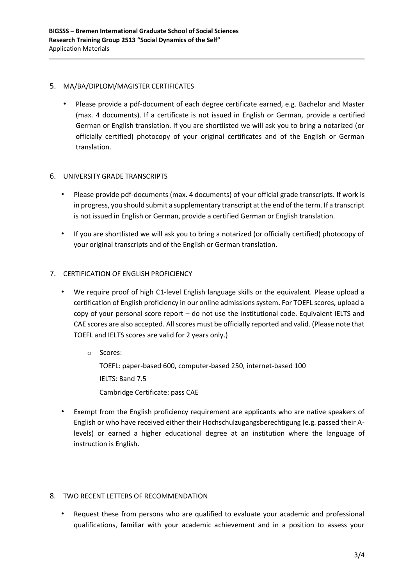## 5. MA/BA/DIPLOM/MAGISTER CERTIFICATES

• Please provide a pdf-document of each degree certificate earned, e.g. Bachelor and Master (max. 4 documents). If a certificate is not issued in English or German, provide a certified German or English translation. If you are shortlisted we will ask you to bring a notarized (or officially certified) photocopy of your original certificates and of the English or German translation.

# 6. UNIVERSITY GRADE TRANSCRIPTS

- Please provide pdf-documents (max. 4 documents) of your official grade transcripts. If work is in progress, you should submit a supplementary transcript at the end of the term. If a transcript is not issued in English or German, provide a certified German or English translation.
- If you are shortlisted we will ask you to bring a notarized (or officially certified) photocopy of your original transcripts and of the English or German translation.

# 7. CERTIFICATION OF ENGLISH PROFICIENCY

- We require proof of high C1-level English language skills or the equivalent. Please upload a certification of English proficiency in our online admissions system. For TOEFL scores, upload a copy of your personal score report – do not use the institutional code. Equivalent IELTS and CAE scores are also accepted. All scores must be officially reported and valid. (Please note that TOEFL and IELTS scores are valid for 2 years only.)
	- o Scores: TOEFL: paper-based 600, computer-based 250, internet-based 100 IELTS: Band 7.5 Cambridge Certificate: pass CAE
- Exempt from the English proficiency requirement are applicants who are native speakers of English or who have received either their Hochschulzugangsberechtigung (e.g. passed their Alevels) or earned a higher educational degree at an institution where the language of instruction is English.

# 8. TWO RECENT LETTERS OF RECOMMENDATION

• Request these from persons who are qualified to evaluate your academic and professional qualifications, familiar with your academic achievement and in a position to assess your